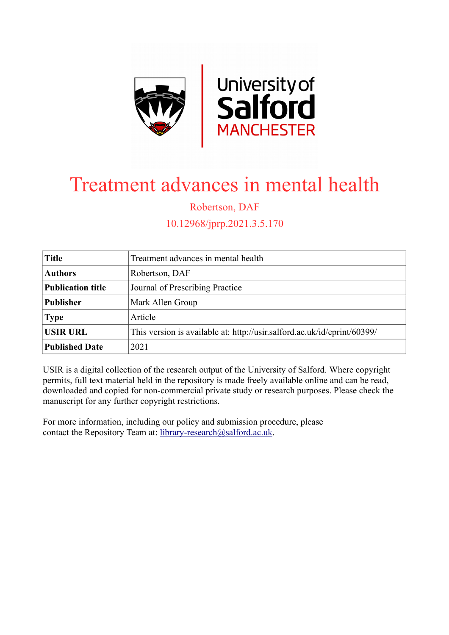

# Treatment advances in mental health

Robertson, DAF

10.12968/jprp.2021.3.5.170

| <b>Title</b>             | Treatment advances in mental health                                      |
|--------------------------|--------------------------------------------------------------------------|
| <b>Authors</b>           | Robertson, DAF                                                           |
| <b>Publication title</b> | Journal of Prescribing Practice                                          |
| <b>Publisher</b>         | Mark Allen Group                                                         |
| <b>Type</b>              | Article                                                                  |
| <b>USIR URL</b>          | This version is available at: http://usir.salford.ac.uk/id/eprint/60399/ |
| <b>Published Date</b>    | 2021                                                                     |

USIR is a digital collection of the research output of the University of Salford. Where copyright permits, full text material held in the repository is made freely available online and can be read, downloaded and copied for non-commercial private study or research purposes. Please check the manuscript for any further copyright restrictions.

For more information, including our policy and submission procedure, please contact the Repository Team at: [library-research@salford.ac.uk.](mailto:library-research@salford.ac.uk)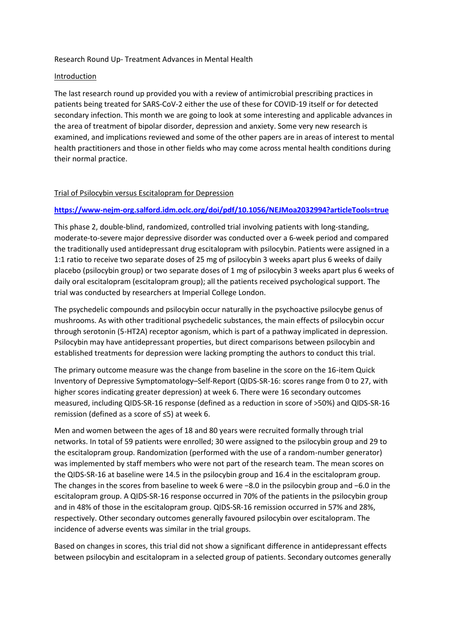### Research Round Up- Treatment Advances in Mental Health

### Introduction

The last research round up provided you with a review of antimicrobial prescribing practices in patients being treated for SARS-CoV-2 either the use of these for COVID-19 itself or for detected secondary infection. This month we are going to look at some interesting and applicable advances in the area of treatment of bipolar disorder, depression and anxiety. Some very new research is examined, and implications reviewed and some of the other papers are in areas of interest to mental health practitioners and those in other fields who may come across mental health conditions during their normal practice.

# Trial of Psilocybin versus Escitalopram for Depression

## **<https://www-nejm-org.salford.idm.oclc.org/doi/pdf/10.1056/NEJMoa2032994?articleTools=true>**

This phase 2, double-blind, randomized, controlled trial involving patients with long-standing, moderate-to-severe major depressive disorder was conducted over a 6-week period and compared the traditionally used antidepressant drug escitalopram with psilocybin. Patients were assigned in a 1:1 ratio to receive two separate doses of 25 mg of psilocybin 3 weeks apart plus 6 weeks of daily placebo (psilocybin group) or two separate doses of 1 mg of psilocybin 3 weeks apart plus 6 weeks of daily oral escitalopram (escitalopram group); all the patients received psychological support. The trial was conducted by researchers at Imperial College London.

The psychedelic compounds and psilocybin occur naturally in the psychoactive psilocybe genus of mushrooms. As with other traditional psychedelic substances, the main effects of psilocybin occur through serotonin (5-HT2A) receptor agonism, which is part of a pathway implicated in depression. Psilocybin may have antidepressant properties, but direct comparisons between psilocybin and established treatments for depression were lacking prompting the authors to conduct this trial.

The primary outcome measure was the change from baseline in the score on the 16-item Quick Inventory of Depressive Symptomatology–Self-Report (QIDS-SR-16: scores range from 0 to 27, with higher scores indicating greater depression) at week 6. There were 16 secondary outcomes measured, including QIDS-SR-16 response (defined as a reduction in score of >50%) and QIDS-SR-16 remission (defined as a score of ≤5) at week 6.

Men and women between the ages of 18 and 80 years were recruited formally through trial networks. In total of 59 patients were enrolled; 30 were assigned to the psilocybin group and 29 to the escitalopram group. Randomization (performed with the use of a random-number generator) was implemented by staff members who were not part of the research team. The mean scores on the QIDS-SR-16 at baseline were 14.5 in the psilocybin group and 16.4 in the escitalopram group. The changes in the scores from baseline to week 6 were −8.0 in the psilocybin group and −6.0 in the escitalopram group. A QIDS-SR-16 response occurred in 70% of the patients in the psilocybin group and in 48% of those in the escitalopram group. QIDS-SR-16 remission occurred in 57% and 28%, respectively. Other secondary outcomes generally favoured psilocybin over escitalopram. The incidence of adverse events was similar in the trial groups.

Based on changes in scores, this trial did not show a significant difference in antidepressant effects between psilocybin and escitalopram in a selected group of patients. Secondary outcomes generally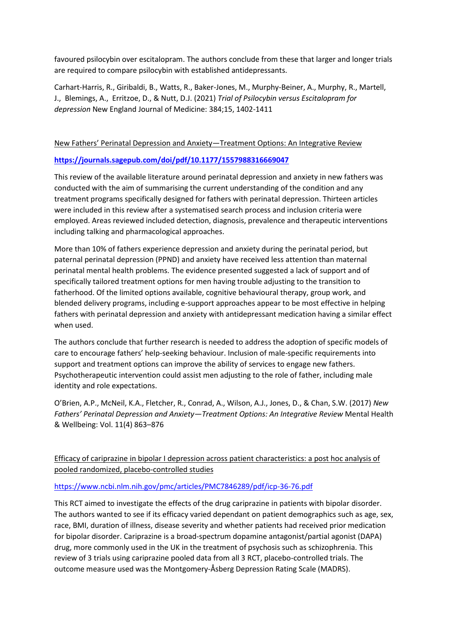favoured psilocybin over escitalopram. The authors conclude from these that larger and longer trials are required to compare psilocybin with established antidepressants.

Carhart-Harris, R., Giribaldi, B., Watts, R., Baker-Jones, M., Murphy-Beiner, A., Murphy, R., Martell, J., Blemings, A., Erritzoe, D., & Nutt, D.J. (2021) *Trial of Psilocybin versus Escitalopram for depression* New England Journal of Medicine: 384;15, 1402-1411

# New Fathers' Perinatal Depression and Anxiety—Treatment Options: An Integrative Review

# **<https://journals.sagepub.com/doi/pdf/10.1177/1557988316669047>**

This review of the available literature around perinatal depression and anxiety in new fathers was conducted with the aim of summarising the current understanding of the condition and any treatment programs specifically designed for fathers with perinatal depression. Thirteen articles were included in this review after a systematised search process and inclusion criteria were employed. Areas reviewed included detection, diagnosis, prevalence and therapeutic interventions including talking and pharmacological approaches.

More than 10% of fathers experience depression and anxiety during the perinatal period, but paternal perinatal depression (PPND) and anxiety have received less attention than maternal perinatal mental health problems. The evidence presented suggested a lack of support and of specifically tailored treatment options for men having trouble adjusting to the transition to fatherhood. Of the limited options available, cognitive behavioural therapy, group work, and blended delivery programs, including e-support approaches appear to be most effective in helping fathers with perinatal depression and anxiety with antidepressant medication having a similar effect when used.

The authors conclude that further research is needed to address the adoption of specific models of care to encourage fathers' help-seeking behaviour. Inclusion of male-specific requirements into support and treatment options can improve the ability of services to engage new fathers. Psychotherapeutic intervention could assist men adjusting to the role of father, including male identity and role expectations.

O'Brien, A.P., McNeil, K.A., Fletcher, R., Conrad, A., Wilson, A.J., Jones, D., & Chan, S.W. (2017) *New Fathers' Perinatal Depression and Anxiety—Treatment Options: An Integrative Review* Mental Health & Wellbeing: Vol. 11(4) 863–876

Efficacy of cariprazine in bipolar I depression across patient characteristics: a post hoc analysis of pooled randomized, placebo-controlled studies

### <https://www.ncbi.nlm.nih.gov/pmc/articles/PMC7846289/pdf/icp-36-76.pdf>

This RCT aimed to investigate the effects of the drug cariprazine in patients with bipolar disorder. The authors wanted to see if its efficacy varied dependant on patient demographics such as age, sex, race, BMI, duration of illness, disease severity and whether patients had received prior medication for bipolar disorder. Cariprazine is a broad-spectrum dopamine antagonist/partial agonist (DAPA) drug, more commonly used in the UK in the treatment of psychosis such as schizophrenia. This review of 3 trials using cariprazine pooled data from all 3 RCT, placebo-controlled trials. The outcome measure used was the Montgomery-Åsberg Depression Rating Scale (MADRS).